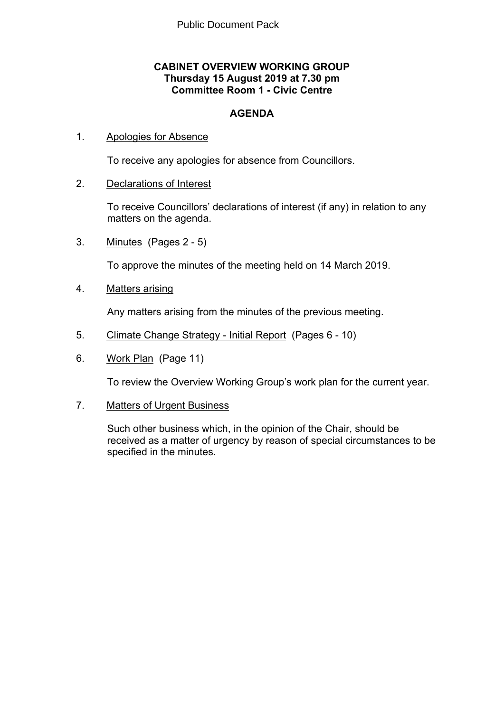## **CABINET OVERVIEW WORKING GROUP Thursday 15 August 2019 at 7.30 pm Committee Room 1 - Civic Centre**

## **AGENDA**

## 1. Apologies for Absence

To receive any apologies for absence from Councillors.

## 2. Declarations of Interest

To receive Councillors' declarations of interest (if any) in relation to any matters on the agenda.

3. Minutes(Pages 2 - 5)

To approve the minutes of the meeting held on 14 March 2019.

4. Matters arising

Any matters arising from the minutes of the previous meeting.

- 5. Climate Change Strategy Initial Report(Pages 6 10)
- 6. Work Plan(Page 11)

To review the Overview Working Group's work plan for the current year.

7. Matters of Urgent Business

Such other business which, in the opinion of the Chair, should be received as a matter of urgency by reason of special circumstances to be specified in the minutes.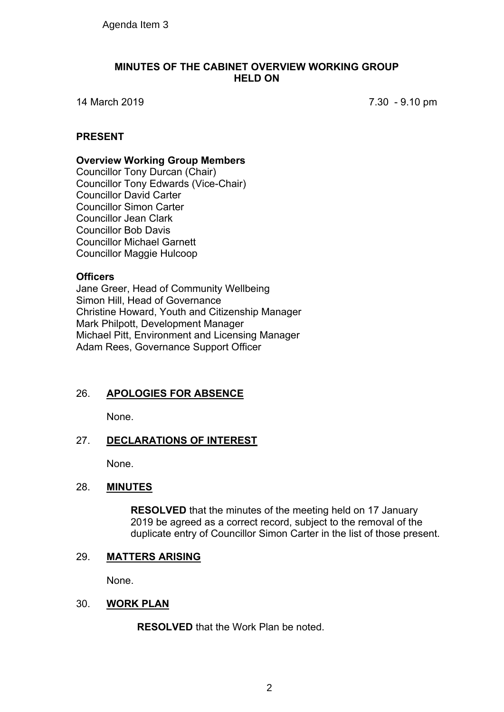## **MINUTES OF THE CABINET OVERVIEW WORKING GROUP HELD ON**

14 March 2019 7.30 - 9.10 pm

## **PRESENT**

## **Overview Working Group Members**

Councillor Tony Durcan (Chair) Councillor Tony Edwards (Vice-Chair) Councillor David Carter Councillor Simon Carter Councillor Jean Clark Councillor Bob Davis Councillor Michael Garnett Councillor Maggie Hulcoop

## **Officers**

Jane Greer, Head of Community Wellbeing Simon Hill, Head of Governance Christine Howard, Youth and Citizenship Manager Mark Philpott, Development Manager Michael Pitt, Environment and Licensing Manager Adam Rees, Governance Support Officer

## 26. **APOLOGIES FOR ABSENCE**

None.

## 27. **DECLARATIONS OF INTEREST**

None.

## 28. **MINUTES**

**RESOLVED** that the minutes of the meeting held on 17 January 2019 be agreed as a correct record, subject to the removal of the duplicate entry of Councillor Simon Carter in the list of those present.

## 29. **MATTERS ARISING**

None.

## 30. **WORK PLAN**

**RESOLVED** that the Work Plan be noted.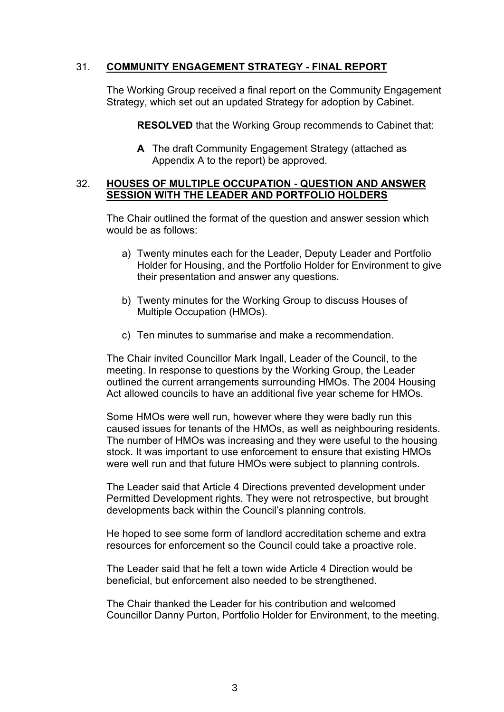## 31. **COMMUNITY ENGAGEMENT STRATEGY - FINAL REPORT**

The Working Group received a final report on the Community Engagement Strategy, which set out an updated Strategy for adoption by Cabinet.

**RESOLVED** that the Working Group recommends to Cabinet that:

**A** The draft Community Engagement Strategy (attached as Appendix A to the report) be approved.

## 32. **HOUSES OF MULTIPLE OCCUPATION - QUESTION AND ANSWER SESSION WITH THE LEADER AND PORTFOLIO HOLDERS**

The Chair outlined the format of the question and answer session which would be as follows:

- a) Twenty minutes each for the Leader, Deputy Leader and Portfolio Holder for Housing, and the Portfolio Holder for Environment to give their presentation and answer any questions.
- b) Twenty minutes for the Working Group to discuss Houses of Multiple Occupation (HMOs).
- c) Ten minutes to summarise and make a recommendation.

The Chair invited Councillor Mark Ingall, Leader of the Council, to the meeting. In response to questions by the Working Group, the Leader outlined the current arrangements surrounding HMOs. The 2004 Housing Act allowed councils to have an additional five year scheme for HMOs.

Some HMOs were well run, however where they were badly run this caused issues for tenants of the HMOs, as well as neighbouring residents. The number of HMOs was increasing and they were useful to the housing stock. It was important to use enforcement to ensure that existing HMOs were well run and that future HMOs were subject to planning controls.

The Leader said that Article 4 Directions prevented development under Permitted Development rights. They were not retrospective, but brought developments back within the Council's planning controls.

He hoped to see some form of landlord accreditation scheme and extra resources for enforcement so the Council could take a proactive role.

The Leader said that he felt a town wide Article 4 Direction would be beneficial, but enforcement also needed to be strengthened.

The Chair thanked the Leader for his contribution and welcomed Councillor Danny Purton, Portfolio Holder for Environment, to the meeting.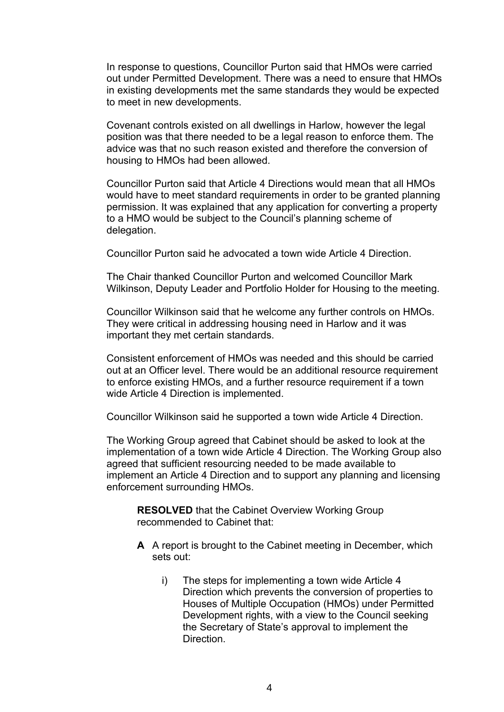In response to questions, Councillor Purton said that HMOs were carried out under Permitted Development. There was a need to ensure that HMOs in existing developments met the same standards they would be expected to meet in new developments.

Covenant controls existed on all dwellings in Harlow, however the legal position was that there needed to be a legal reason to enforce them. The advice was that no such reason existed and therefore the conversion of housing to HMOs had been allowed.

Councillor Purton said that Article 4 Directions would mean that all HMOs would have to meet standard requirements in order to be granted planning permission. It was explained that any application for converting a property to a HMO would be subject to the Council's planning scheme of delegation.

Councillor Purton said he advocated a town wide Article 4 Direction.

The Chair thanked Councillor Purton and welcomed Councillor Mark Wilkinson, Deputy Leader and Portfolio Holder for Housing to the meeting.

Councillor Wilkinson said that he welcome any further controls on HMOs. They were critical in addressing housing need in Harlow and it was important they met certain standards.

Consistent enforcement of HMOs was needed and this should be carried out at an Officer level. There would be an additional resource requirement to enforce existing HMOs, and a further resource requirement if a town wide Article 4 Direction is implemented.

Councillor Wilkinson said he supported a town wide Article 4 Direction.

The Working Group agreed that Cabinet should be asked to look at the implementation of a town wide Article 4 Direction. The Working Group also agreed that sufficient resourcing needed to be made available to implement an Article 4 Direction and to support any planning and licensing enforcement surrounding HMOs.

**RESOLVED** that the Cabinet Overview Working Group recommended to Cabinet that:

- **A** A report is brought to the Cabinet meeting in December, which sets out:
	- i) The steps for implementing a town wide Article 4 Direction which prevents the conversion of properties to Houses of Multiple Occupation (HMOs) under Permitted Development rights, with a view to the Council seeking the Secretary of State's approval to implement the **Direction**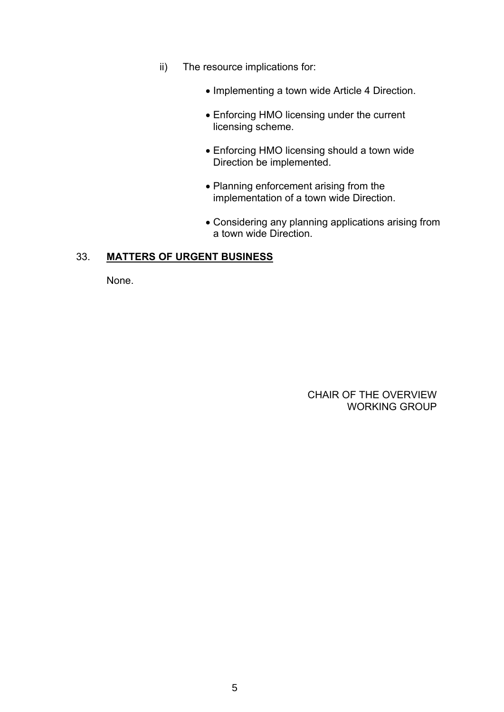- ii) The resource implications for:
	- Implementing a town wide Article 4 Direction.
	- Enforcing HMO licensing under the current licensing scheme.
	- Enforcing HMO licensing should a town wide Direction be implemented.
	- Planning enforcement arising from the implementation of a town wide Direction.
	- Considering any planning applications arising from a town wide Direction.

## 33. **MATTERS OF URGENT BUSINESS**

None.

 CHAIR OF THE OVERVIEW WORKING GROUP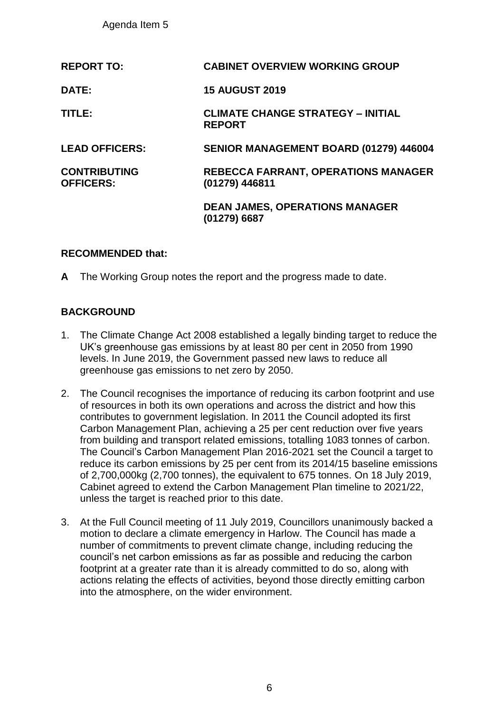Agenda Item 5

| <b>REPORT TO:</b>                       | <b>CABINET OVERVIEW WORKING GROUP</b>                        |
|-----------------------------------------|--------------------------------------------------------------|
| DATE:                                   | <b>15 AUGUST 2019</b>                                        |
| TITLE:                                  | <b>CLIMATE CHANGE STRATEGY - INITIAL</b><br><b>REPORT</b>    |
| <b>LEAD OFFICERS:</b>                   | SENIOR MANAGEMENT BOARD (01279) 446004                       |
| <b>CONTRIBUTING</b><br><b>OFFICERS:</b> | <b>REBECCA FARRANT, OPERATIONS MANAGER</b><br>(01279) 446811 |
|                                         | <b>DEAN JAMES, OPERATIONS MANAGER</b><br>(01279) 6687        |

## **RECOMMENDED that:**

**A** The Working Group notes the report and the progress made to date.

## **BACKGROUND**

- 1. The Climate Change Act 2008 established a legally binding target to reduce the UK's greenhouse gas emissions by at least 80 per cent in 2050 from 1990 levels. In June 2019, the Government passed new laws to reduce all greenhouse gas emissions to net zero by 2050.
- 2. The Council recognises the importance of reducing its carbon footprint and use of resources in both its own operations and across the district and how this contributes to government legislation. In 2011 the Council adopted its first Carbon Management Plan, achieving a 25 per cent reduction over five years from building and transport related emissions, totalling 1083 tonnes of carbon. The Council's Carbon Management Plan 2016-2021 set the Council a target to reduce its carbon emissions by 25 per cent from its 2014/15 baseline emissions of 2,700,000kg (2,700 tonnes), the equivalent to 675 tonnes. On 18 July 2019, Cabinet agreed to extend the Carbon Management Plan timeline to 2021/22, unless the target is reached prior to this date.
- 3. At the Full Council meeting of 11 July 2019, Councillors unanimously backed a motion to declare a climate emergency in Harlow. The Council has made a number of commitments to prevent climate change, including reducing the council's net carbon emissions as far as possible and reducing the carbon footprint at a greater rate than it is already committed to do so, along with actions relating the effects of activities, beyond those directly emitting carbon into the atmosphere, on the wider environment.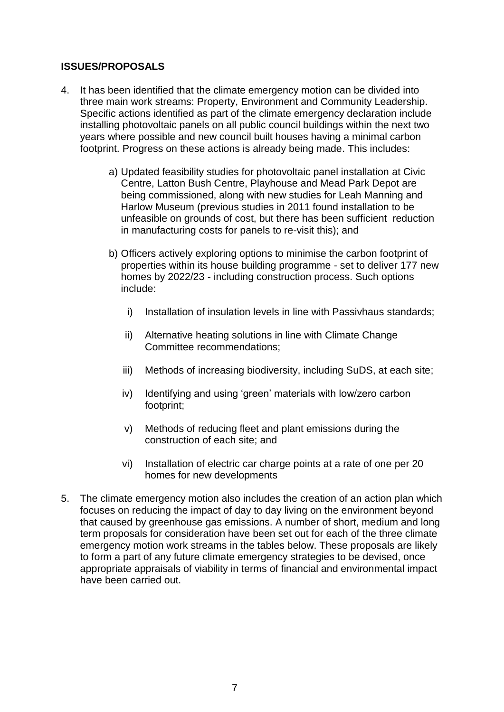## **ISSUES/PROPOSALS**

- 4. It has been identified that the climate emergency motion can be divided into three main work streams: Property, Environment and Community Leadership. Specific actions identified as part of the climate emergency declaration include installing photovoltaic panels on all public council buildings within the next two years where possible and new council built houses having a minimal carbon footprint. Progress on these actions is already being made. This includes:
	- a) Updated feasibility studies for photovoltaic panel installation at Civic Centre, Latton Bush Centre, Playhouse and Mead Park Depot are being commissioned, along with new studies for Leah Manning and Harlow Museum (previous studies in 2011 found installation to be unfeasible on grounds of cost, but there has been sufficient reduction in manufacturing costs for panels to re-visit this); and
	- b) Officers actively exploring options to minimise the carbon footprint of properties within its house building programme - set to deliver 177 new homes by 2022/23 - including construction process. Such options include:
		- i) Installation of insulation levels in line with Passivhaus standards;
		- ii) Alternative heating solutions in line with Climate Change Committee recommendations;
		- iii) Methods of increasing biodiversity, including SuDS, at each site;
		- iv) Identifying and using 'green' materials with low/zero carbon footprint;
		- v) Methods of reducing fleet and plant emissions during the construction of each site; and
		- vi) Installation of electric car charge points at a rate of one per 20 homes for new developments
- 5. The climate emergency motion also includes the creation of an action plan which focuses on reducing the impact of day to day living on the environment beyond that caused by greenhouse gas emissions. A number of short, medium and long term proposals for consideration have been set out for each of the three climate emergency motion work streams in the tables below. These proposals are likely to form a part of any future climate emergency strategies to be devised, once appropriate appraisals of viability in terms of financial and environmental impact have been carried out.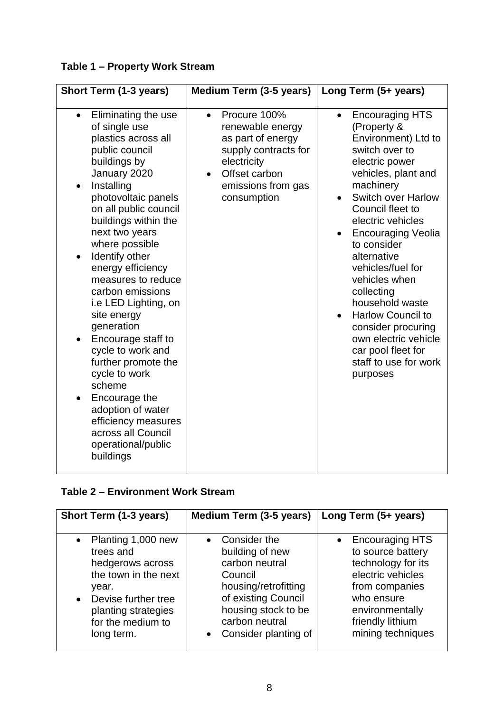## **Table 1 – Property Work Stream**

| Short Term (1-3 years)                                                                                                                                                                                                                                                                                                                                                                                                                                                                                                                                                                                                     | Medium Term (3-5 years)                                                                                                                                         | Long Term (5+ years)                                                                                                                                                                                                                                                                                                                                                                                                                                                                                        |
|----------------------------------------------------------------------------------------------------------------------------------------------------------------------------------------------------------------------------------------------------------------------------------------------------------------------------------------------------------------------------------------------------------------------------------------------------------------------------------------------------------------------------------------------------------------------------------------------------------------------------|-----------------------------------------------------------------------------------------------------------------------------------------------------------------|-------------------------------------------------------------------------------------------------------------------------------------------------------------------------------------------------------------------------------------------------------------------------------------------------------------------------------------------------------------------------------------------------------------------------------------------------------------------------------------------------------------|
| Eliminating the use<br>$\bullet$<br>of single use<br>plastics across all<br>public council<br>buildings by<br>January 2020<br>Installing<br>photovoltaic panels<br>on all public council<br>buildings within the<br>next two years<br>where possible<br>Identify other<br>$\bullet$<br>energy efficiency<br>measures to reduce<br>carbon emissions<br>i.e LED Lighting, on<br>site energy<br>generation<br>Encourage staff to<br>cycle to work and<br>further promote the<br>cycle to work<br>scheme<br>Encourage the<br>adoption of water<br>efficiency measures<br>across all Council<br>operational/public<br>buildings | Procure 100%<br>$\bullet$<br>renewable energy<br>as part of energy<br>supply contracts for<br>electricity<br>Offset carbon<br>emissions from gas<br>consumption | <b>Encouraging HTS</b><br>$\bullet$<br>(Property &<br>Environment) Ltd to<br>switch over to<br>electric power<br>vehicles, plant and<br>machinery<br><b>Switch over Harlow</b><br>Council fleet to<br>electric vehicles<br><b>Encouraging Veolia</b><br>to consider<br>alternative<br>vehicles/fuel for<br>vehicles when<br>collecting<br>household waste<br><b>Harlow Council to</b><br>$\bullet$<br>consider procuring<br>own electric vehicle<br>car pool fleet for<br>staff to use for work<br>purposes |

## **Table 2 – Environment Work Stream**

| Short Term (1-3 years)                                                                                                                                                                          | Medium Term (3-5 years)                                                                                                                                                                     | Long Term (5+ years)                                                                                                                                                               |  |
|-------------------------------------------------------------------------------------------------------------------------------------------------------------------------------------------------|---------------------------------------------------------------------------------------------------------------------------------------------------------------------------------------------|------------------------------------------------------------------------------------------------------------------------------------------------------------------------------------|--|
| Planting 1,000 new<br>$\bullet$<br>trees and<br>hedgerows across<br>the town in the next<br>year.<br>Devise further tree<br>$\bullet$<br>planting strategies<br>for the medium to<br>long term. | • Consider the<br>building of new<br>carbon neutral<br>Council<br>housing/retrofitting<br>of existing Council<br>housing stock to be<br>carbon neutral<br>Consider planting of<br>$\bullet$ | <b>Encouraging HTS</b><br>to source battery<br>technology for its<br>electric vehicles<br>from companies<br>who ensure<br>environmentally<br>friendly lithium<br>mining techniques |  |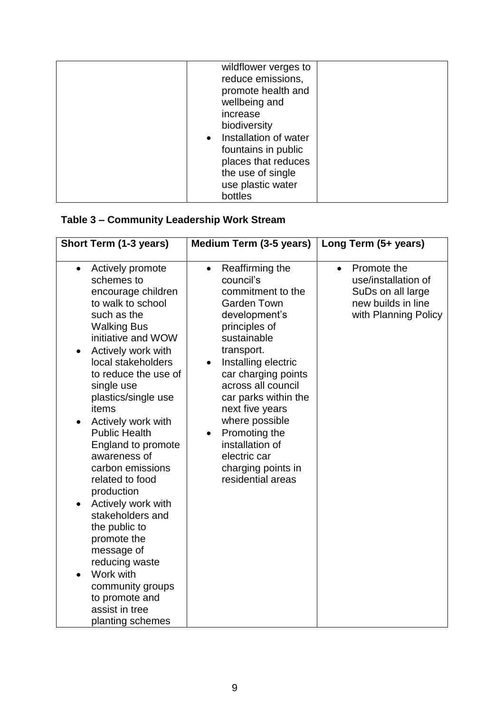| wildflower verges to    |  |
|-------------------------|--|
| reduce emissions,       |  |
| promote health and      |  |
| wellbeing and           |  |
| increase                |  |
| biodiversity            |  |
| • Installation of water |  |
| fountains in public     |  |
| places that reduces     |  |
| the use of single       |  |
| use plastic water       |  |
| bottles                 |  |

## **Table 3 – Community Leadership Work Stream**

| Short Term (1-3 years)                                                                                                                                                                                                                                                                                                                                                                                                                                                                                                                                                                                                                    | <b>Medium Term (3-5 years)</b>                                                                                                                                                                                                                                                                                                                                                                   | Long Term (5+ years)                                                                                               |
|-------------------------------------------------------------------------------------------------------------------------------------------------------------------------------------------------------------------------------------------------------------------------------------------------------------------------------------------------------------------------------------------------------------------------------------------------------------------------------------------------------------------------------------------------------------------------------------------------------------------------------------------|--------------------------------------------------------------------------------------------------------------------------------------------------------------------------------------------------------------------------------------------------------------------------------------------------------------------------------------------------------------------------------------------------|--------------------------------------------------------------------------------------------------------------------|
| Actively promote<br>$\bullet$<br>schemes to<br>encourage children<br>to walk to school<br>such as the<br><b>Walking Bus</b><br>initiative and WOW<br>Actively work with<br>local stakeholders<br>to reduce the use of<br>single use<br>plastics/single use<br>items<br>Actively work with<br>$\bullet$<br><b>Public Health</b><br>England to promote<br>awareness of<br>carbon emissions<br>related to food<br>production<br>Actively work with<br>stakeholders and<br>the public to<br>promote the<br>message of<br>reducing waste<br>Work with<br>$\bullet$<br>community groups<br>to promote and<br>assist in tree<br>planting schemes | Reaffirming the<br>$\bullet$<br>council's<br>commitment to the<br><b>Garden Town</b><br>development's<br>principles of<br>sustainable<br>transport.<br>Installing electric<br>car charging points<br>across all council<br>car parks within the<br>next five years<br>where possible<br>Promoting the<br>$\bullet$<br>installation of<br>electric car<br>charging points in<br>residential areas | Promote the<br>$\bullet$<br>use/installation of<br>SuDs on all large<br>new builds in line<br>with Planning Policy |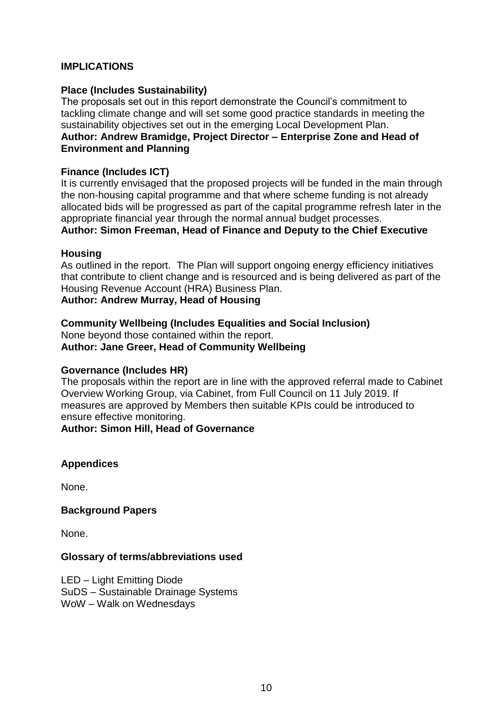## **IMPLICATIONS**

## **Place (Includes Sustainability)**

The proposals set out in this report demonstrate the Council's commitment to tackling climate change and will set some good practice standards in meeting the sustainability objectives set out in the emerging Local Development Plan. **Author: Andrew Bramidge, Project Director – Enterprise Zone and Head of Environment and Planning**

## **Finance (Includes ICT)**

It is currently envisaged that the proposed projects will be funded in the main through the non-housing capital programme and that where scheme funding is not already allocated bids will be progressed as part of the capital programme refresh later in the appropriate financial year through the normal annual budget processes. **Author: Simon Freeman, Head of Finance and Deputy to the Chief Executive**

### **Housing**

As outlined in the report. The Plan will support ongoing energy efficiency initiatives that contribute to client change and is resourced and is being delivered as part of the Housing Revenue Account (HRA) Business Plan.

## **Author: Andrew Murray, Head of Housing**

## **Community Wellbeing (Includes Equalities and Social Inclusion)**

None beyond those contained within the report. **Author: Jane Greer, Head of Community Wellbeing**

## **Governance (Includes HR)**

The proposals within the report are in line with the approved referral made to Cabinet Overview Working Group, via Cabinet, from Full Council on 11 July 2019. If measures are approved by Members then suitable KPIs could be introduced to ensure effective monitoring.

## **Author: Simon Hill, Head of Governance**

## **Appendices**

None.

### **Background Papers**

None.

### **Glossary of terms/abbreviations used**

LED – Light Emitting Diode SuDS – Sustainable Drainage Systems WoW – Walk on Wednesdays